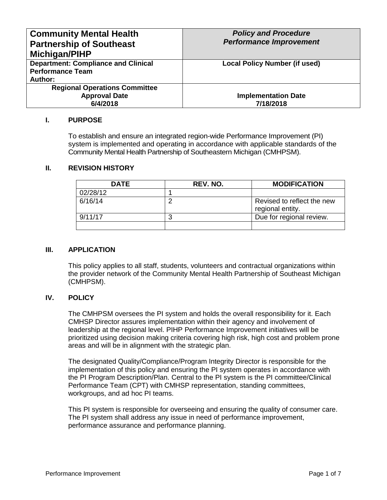| <b>Community Mental Health</b><br><b>Partnership of Southeast</b><br>Michigan/PIHP | <b>Policy and Procedure</b><br><b>Performance Improvement</b> |
|------------------------------------------------------------------------------------|---------------------------------------------------------------|
| <b>Department: Compliance and Clinical</b><br><b>Performance Team</b>              | <b>Local Policy Number (if used)</b>                          |
| <b>Author:</b>                                                                     |                                                               |
|                                                                                    |                                                               |
| <b>Regional Operations Committee</b>                                               |                                                               |
| <b>Approval Date</b>                                                               | <b>Implementation Date</b>                                    |
| 6/4/2018                                                                           | 7/18/2018                                                     |

#### **I. PURPOSE**

To establish and ensure an integrated region-wide Performance Improvement (PI) system is implemented and operating in accordance with applicable standards of the Community Mental Health Partnership of Southeastern Michigan (CMHPSM).

## **II. REVISION HISTORY**

| <b>DATE</b> | REV. NO. | <b>MODIFICATION</b>                            |
|-------------|----------|------------------------------------------------|
| 02/28/12    |          |                                                |
| 6/16/14     |          | Revised to reflect the new<br>regional entity. |
| 9/11/17     |          | Due for regional review.                       |
|             |          |                                                |

#### **III. APPLICATION**

This policy applies to all staff, students, volunteers and contractual organizations within the provider network of the Community Mental Health Partnership of Southeast Michigan (CMHPSM).

#### **IV. POLICY**

The CMHPSM oversees the PI system and holds the overall responsibility for it. Each CMHSP Director assures implementation within their agency and involvement of leadership at the regional level. PIHP Performance Improvement initiatives will be prioritized using decision making criteria covering high risk, high cost and problem prone areas and will be in alignment with the strategic plan.

The designated Quality/Compliance/Program Integrity Director is responsible for the implementation of this policy and ensuring the PI system operates in accordance with the PI Program Description/Plan. Central to the PI system is the PI committee/Clinical Performance Team (CPT) with CMHSP representation, standing committees, workgroups, and ad hoc PI teams.

This PI system is responsible for overseeing and ensuring the quality of consumer care. The PI system shall address any issue in need of performance improvement, performance assurance and performance planning.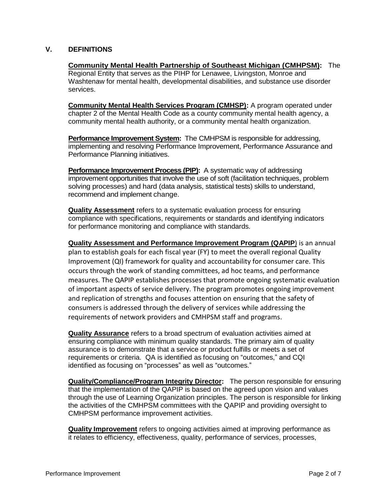## **V. DEFINITIONS**

**Community Mental Health Partnership of Southeast Michigan (CMHPSM):** The Regional Entity that serves as the PIHP for Lenawee, Livingston, Monroe and Washtenaw for mental health, developmental disabilities, and substance use disorder services.

**Community Mental Health Services Program (CMHSP):** A program operated under chapter 2 of the Mental Health Code as a county community mental health agency, a community mental health authority, or a community mental health organization.

**Performance Improvement System:** The CMHPSM is responsible for addressing. implementing and resolving Performance Improvement, Performance Assurance and Performance Planning initiatives.

**Performance Improvement Process (PIP):** A systematic way of addressing improvement opportunities that involve the use of soft (facilitation techniques, problem solving processes) and hard (data analysis, statistical tests) skills to understand, recommend and implement change.

**Quality Assessment** refers to a systematic evaluation process for ensuring compliance with specifications, requirements or standards and identifying indicators for performance monitoring and compliance with standards.

**Quality Assessment and Performance Improvement Program (QAPIP**) is an annual plan to establish goals for each fiscal year (FY) to meet the overall regional Quality Improvement (QI) framework for quality and accountability for consumer care. This occurs through the work of standing committees, ad hoc teams, and performance measures. The QAPIP establishes processes that promote ongoing systematic evaluation of important aspects of service delivery. The program promotes ongoing improvement and replication of strengths and focuses attention on ensuring that the safety of consumers is addressed through the delivery of services while addressing the requirements of network providers and CMHPSM staff and programs.

**Quality Assurance** refers to a broad spectrum of evaluation activities aimed at ensuring compliance with minimum quality standards. The primary aim of quality assurance is to demonstrate that a service or product fulfills or meets a set of requirements or criteria. QA is identified as focusing on "outcomes," and CQI identified as focusing on "processes" as well as "outcomes."

**Quality/Compliance/Program Integrity Director:** The person responsible for ensuring that the implementation of the QAPIP is based on the agreed upon vision and values through the use of Learning Organization principles. The person is responsible for linking the activities of the CMHPSM committees with the QAPIP and providing oversight to CMHPSM performance improvement activities.

**Quality Improvement** refers to ongoing activities aimed at improving performance as it relates to efficiency, effectiveness, quality, performance of services, processes,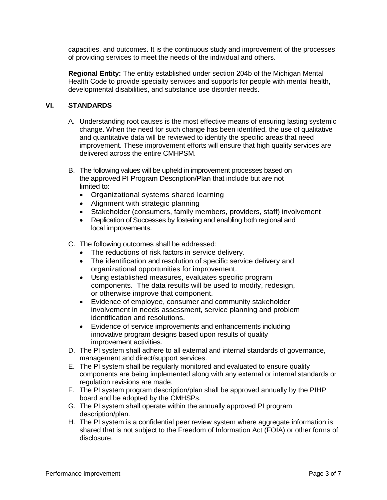capacities, and outcomes. It is the continuous study and improvement of the processes of providing services to meet the needs of the individual and others.

**Regional Entity:** The entity established under section 204b of the Michigan Mental Health Code to provide specialty services and supports for people with mental health, developmental disabilities, and substance use disorder needs.

## **VI. STANDARDS**

- A. Understanding root causes is the most effective means of ensuring lasting systemic change. When the need for such change has been identified, the use of qualitative and quantitative data will be reviewed to identify the specific areas that need improvement. These improvement efforts will ensure that high quality services are delivered across the entire CMHPSM.
- B. The following values will be upheld in improvement processes based on the approved PI Program Description/Plan that include but are not limited to:
	- Organizational systems shared learning
	- Alignment with strategic planning
	- Stakeholder (consumers, family members, providers, staff) involvement
	- Replication of Successes by fostering and enabling both regional and local improvements.
- C. The following outcomes shall be addressed:
	- The reductions of risk factors in service delivery.
	- The identification and resolution of specific service delivery and organizational opportunities for improvement.
	- Using established measures, evaluates specific program components. The data results will be used to modify, redesign, or otherwise improve that component.
	- Evidence of employee, consumer and community stakeholder involvement in needs assessment, service planning and problem identification and resolutions.
	- Evidence of service improvements and enhancements including innovative program designs based upon results of quality improvement activities.
- D. The PI system shall adhere to all external and internal standards of governance, management and direct/support services.
- E. The PI system shall be regularly monitored and evaluated to ensure quality components are being implemented along with any external or internal standards or regulation revisions are made.
- F. The PI system program description/plan shall be approved annually by the PIHP board and be adopted by the CMHSPs.
- G. The PI system shall operate within the annually approved PI program description/plan.
- H. The PI system is a confidential peer review system where aggregate information is shared that is not subject to the Freedom of Information Act (FOIA) or other forms of disclosure.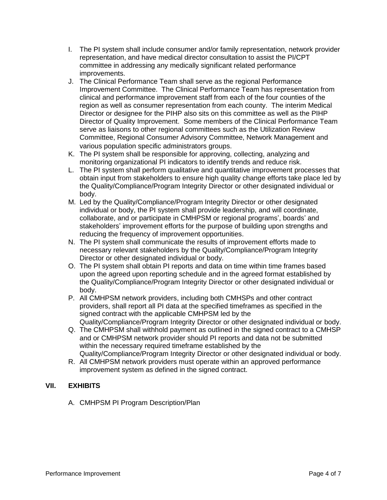- I. The PI system shall include consumer and/or family representation, network provider representation, and have medical director consultation to assist the PI/CPT committee in addressing any medically significant related performance improvements.
- J. The Clinical Performance Team shall serve as the regional Performance Improvement Committee. The Clinical Performance Team has representation from clinical and performance improvement staff from each of the four counties of the region as well as consumer representation from each county. The interim Medical Director or designee for the PIHP also sits on this committee as well as the PIHP Director of Quality Improvement. Some members of the Clinical Performance Team serve as liaisons to other regional committees such as the Utilization Review Committee, Regional Consumer Advisory Committee, Network Management and various population specific administrators groups.
- K. The PI system shall be responsible for approving, collecting, analyzing and monitoring organizational PI indicators to identify trends and reduce risk.
- L. The PI system shall perform qualitative and quantitative improvement processes that obtain input from stakeholders to ensure high quality change efforts take place led by the Quality/Compliance/Program Integrity Director or other designated individual or body.
- M. Led by the Quality/Compliance/Program Integrity Director or other designated individual or body, the PI system shall provide leadership, and will coordinate, collaborate, and or participate in CMHPSM or regional programs', boards' and stakeholders' improvement efforts for the purpose of building upon strengths and reducing the frequency of improvement opportunities.
- N. The PI system shall communicate the results of improvement efforts made to necessary relevant stakeholders by the Quality/Compliance/Program Integrity Director or other designated individual or body.
- O. The PI system shall obtain PI reports and data on time within time frames based upon the agreed upon reporting schedule and in the agreed format established by the Quality/Compliance/Program Integrity Director or other designated individual or body.
- P. All CMHPSM network providers, including both CMHSPs and other contract providers, shall report all PI data at the specified timeframes as specified in the signed contract with the applicable CMHPSM led by the Quality/Compliance/Program Integrity Director or other designated individual or body.
- Q. The CMHPSM shall withhold payment as outlined in the signed contract to a CMHSP and or CMHPSM network provider should PI reports and data not be submitted within the necessary required timeframe established by the Quality/Compliance/Program Integrity Director or other designated individual or body.
- R. All CMHPSM network providers must operate within an approved performance improvement system as defined in the signed contract.

# **VII. EXHIBITS**

A. CMHPSM PI Program Description/Plan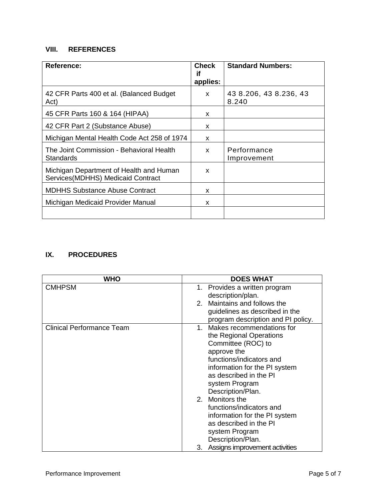# **VIII. REFERENCES**

| <b>Reference:</b>                                                            | <b>Check</b><br>if<br>applies: | <b>Standard Numbers:</b>        |
|------------------------------------------------------------------------------|--------------------------------|---------------------------------|
| 42 CFR Parts 400 et al. (Balanced Budget<br>Act)                             | X                              | 43 8.206, 43 8.236, 43<br>8.240 |
| 45 CFR Parts 160 & 164 (HIPAA)                                               | x                              |                                 |
| 42 CFR Part 2 (Substance Abuse)                                              | x                              |                                 |
| Michigan Mental Health Code Act 258 of 1974                                  | x                              |                                 |
| The Joint Commission - Behavioral Health<br>Standards                        | X                              | Performance<br>Improvement      |
| Michigan Department of Health and Human<br>Services(MDHHS) Medicaid Contract | x                              |                                 |
| <b>MDHHS Substance Abuse Contract</b>                                        | x                              |                                 |
| Michigan Medicaid Provider Manual                                            | x                              |                                 |
|                                                                              |                                |                                 |

# **IX. PROCEDURES**

| WHO                              | <b>DOES WHAT</b>                     |
|----------------------------------|--------------------------------------|
| <b>CMHPSM</b>                    | 1. Provides a written program        |
|                                  | description/plan.                    |
|                                  | 2. Maintains and follows the         |
|                                  | guidelines as described in the       |
|                                  | program description and PI policy.   |
| <b>Clinical Performance Team</b> | 1. Makes recommendations for         |
|                                  | the Regional Operations              |
|                                  | Committee (ROC) to                   |
|                                  | approve the                          |
|                                  | functions/indicators and             |
|                                  | information for the PI system        |
|                                  | as described in the PI               |
|                                  | system Program                       |
|                                  | Description/Plan.                    |
|                                  | 2. Monitors the                      |
|                                  | functions/indicators and             |
|                                  | information for the PI system        |
|                                  | as described in the PI               |
|                                  | system Program                       |
|                                  | Description/Plan.                    |
|                                  | Assigns improvement activities<br>3. |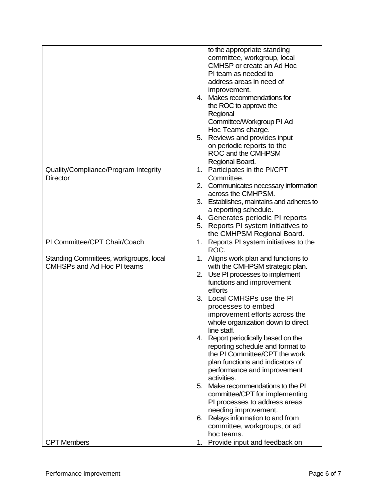|                                        | to the appropriate standing              |
|----------------------------------------|------------------------------------------|
|                                        | committee, workgroup, local              |
|                                        | CMHSP or create an Ad Hoc                |
|                                        | PI team as needed to                     |
|                                        | address areas in need of                 |
|                                        |                                          |
|                                        | improvement.                             |
|                                        | 4. Makes recommendations for             |
|                                        | the ROC to approve the                   |
|                                        | Regional                                 |
|                                        | Committee/Workgroup PI Ad                |
|                                        | Hoc Teams charge.                        |
|                                        | 5. Reviews and provides input            |
|                                        | on periodic reports to the               |
|                                        | ROC and the CMHPSM                       |
|                                        | Regional Board.                          |
| Quality/Compliance/Program Integrity   | Participates in the PI/CPT<br>1.         |
| <b>Director</b>                        | Committee.                               |
|                                        | 2. Communicates necessary information    |
|                                        | across the CMHPSM.                       |
|                                        | 3. Establishes, maintains and adheres to |
|                                        | a reporting schedule.                    |
|                                        | 4. Generates periodic PI reports         |
|                                        | 5. Reports PI system initiatives to      |
|                                        | the CMHPSM Regional Board.               |
| PI Committee/CPT Chair/Coach           | 1. Reports PI system initiatives to the  |
|                                        | ROC.                                     |
| Standing Committees, workgroups, local | 1. Aligns work plan and functions to     |
| <b>CMHSPs and Ad Hoc PI teams</b>      | with the CMHPSM strategic plan.          |
|                                        | 2. Use PI processes to implement         |
|                                        | functions and improvement                |
|                                        | efforts                                  |
|                                        | 3. Local CMHSPs use the PI               |
|                                        | processes to embed                       |
|                                        | improvement efforts across the           |
|                                        | whole organization down to direct        |
|                                        | line staff.                              |
|                                        | 4. Report periodically based on the      |
|                                        | reporting schedule and format to         |
|                                        | the PI Committee/CPT the work            |
|                                        | plan functions and indicators of         |
|                                        | performance and improvement              |
|                                        | activities.                              |
|                                        | Make recommendations to the PI<br>5.     |
|                                        | committee/CPT for implementing           |
|                                        | PI processes to address areas            |
|                                        | needing improvement.                     |
|                                        | 6. Relays information to and from        |
|                                        | committee, workgroups, or ad             |
|                                        | hoc teams.                               |
| <b>CPT Members</b>                     | Provide input and feedback on<br>1.      |